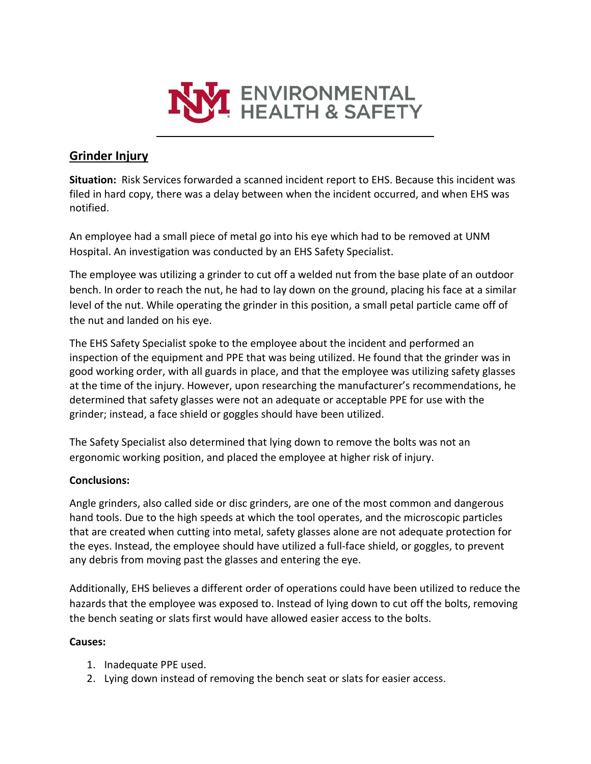

# **Grinder Injury**

**Situation:** Risk Services forwarded a scanned incident report to EHS. Because this incident was filed in hard copy, there was a delay between when the incident occurred, and when EHS was notified.

An employee had a small piece of metal go into his eye which had to be removed at UNM Hospital. An investigation was conducted by an EHS Safety Specialist.

The employee was utilizing a grinder to cut off a welded nut from the base plate of an outdoor bench. In order to reach the nut, he had to lay down on the ground, placing his face at a similar level of the nut. While operating the grinder in this position, a small petal particle came off of the nut and landed on his eye.

The EHS Safety Specialist spoke to the employee about the incident and performed an inspection of the equipment and PPE that was being utilized. He found that the grinder was in good working order, with all guards in place, and that the employee was utilizing safety glasses at the time of the injury. However, upon researching the manufacturer's recommendations, he determined that safety glasses were not an adequate or acceptable PPE for use with the grinder; instead, a face shield or goggles should have been utilized.

The Safety Specialist also determined that lying down to remove the bolts was not an ergonomic working position, and placed the employee at higher risk of injury.

## **Conclusions:**

Angle grinders, also called side or disc grinders, are one of the most common and dangerous hand tools. Due to the high speeds at which the tool operates, and the microscopic particles that are created when cutting into metal, safety glasses alone are not adequate protection for the eyes. Instead, the employee should have utilized a full-face shield, or goggles, to prevent any debris from moving past the glasses and entering the eye.

Additionally, EHS believes a different order of operations could have been utilized to reduce the hazards that the employee was exposed to. Instead of lying down to cut off the bolts, removing the bench seating or slats first would have allowed easier access to the bolts.

## **Causes:**

- 1. Inadequate PPE used.
- 2. Lying down instead of removing the bench seat or slats for easier access.